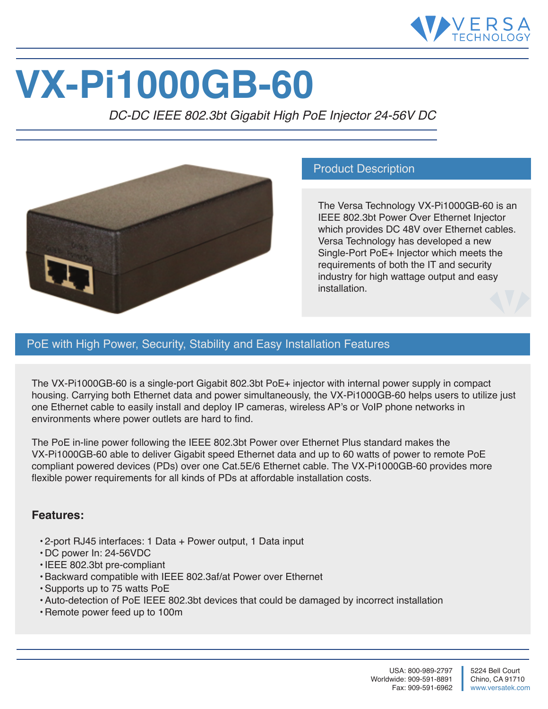

# **VX-Pi1000GB-60**

*DC-DC IEEE 802.3bt Gigabit High PoE Injector 24-56V DC*



## Product Description

The Versa Technology VX-Pi1000GB-60 is an IEEE 802.3bt Power Over Ethernet Injector which provides DC 48V over Ethernet cables. Versa Technology has developed a new Single-Port PoE+ Injector which meets the requirements of both the IT and security industry for high wattage output and easy installation.

# PoE with High Power, Security, Stability and Easy Installation Features

The VX-Pi1000GB-60 is a single-port Gigabit 802.3bt PoE+ injector with internal power supply in compact housing. Carrying both Ethernet data and power simultaneously, the VX-Pi1000GB-60 helps users to utilize just one Ethernet cable to easily install and deploy IP cameras, wireless AP's or VoIP phone networks in environments where power outlets are hard to find.

The PoE in-line power following the IEEE 802.3bt Power over Ethernet Plus standard makes the VX-Pi1000GB-60 able to deliver Gigabit speed Ethernet data and up to 60 watts of power to remote PoE compliant powered devices (PDs) over one Cat.5E/6 Ethernet cable. The VX-Pi1000GB-60 provides more flexible power requirements for all kinds of PDs at affordable installation costs.

#### **Features:**

- 2-port RJ45 interfaces: 1 Data + Power output, 1 Data input
- DC power In: 24-56VDC
- IEEE 802.3bt pre-compliant
- Backward compatible with IEEE 802.3af/at Power over Ethernet
- Supports up to 75 watts PoE
- Auto-detection of PoE IEEE 802.3bt devices that could be damaged by incorrect installation
- Remote power feed up to 100m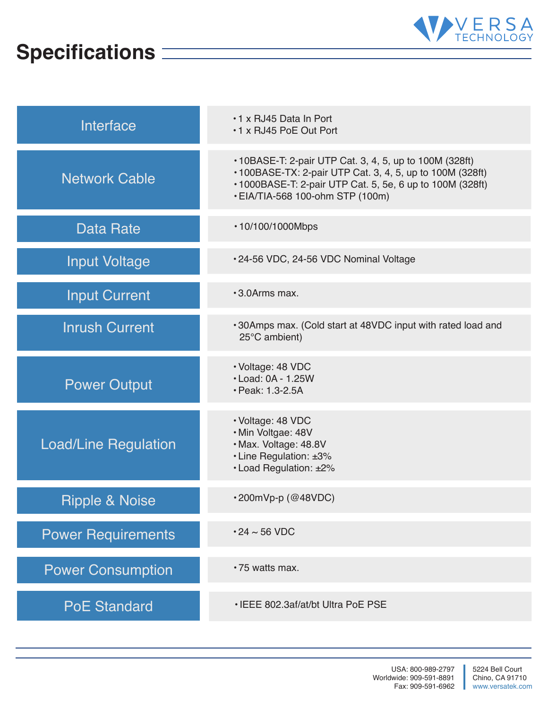# **Specifications**



| Interface                   | .1 x RJ45 Data In Port<br>*1 x RJ45 PoE Out Port                                                                                                                                                                      |
|-----------------------------|-----------------------------------------------------------------------------------------------------------------------------------------------------------------------------------------------------------------------|
| <b>Network Cable</b>        | • 10BASE-T: 2-pair UTP Cat. 3, 4, 5, up to 100M (328ft)<br>• 100BASE-TX: 2-pair UTP Cat. 3, 4, 5, up to 100M (328ft)<br>• 1000BASE-T: 2-pair UTP Cat. 5, 5e, 6 up to 100M (328ft)<br>• EIA/TIA-568 100-ohm STP (100m) |
| Data Rate                   | • 10/100/1000Mbps                                                                                                                                                                                                     |
| <b>Input Voltage</b>        | .24-56 VDC, 24-56 VDC Nominal Voltage                                                                                                                                                                                 |
| <b>Input Current</b>        | •3.0Arms max.                                                                                                                                                                                                         |
| <b>Inrush Current</b>       | •30Amps max. (Cold start at 48VDC input with rated load and<br>25°C ambient)                                                                                                                                          |
| <b>Power Output</b>         | · Voltage: 48 VDC<br>• Load: 0A - 1.25W<br>· Peak: 1.3-2.5A                                                                                                                                                           |
| <b>Load/Line Regulation</b> | · Voltage: 48 VDC<br>· Min Voltgae: 48V<br>· Max. Voltage: 48.8V<br>• Line Regulation: ±3%<br>• Load Regulation: ±2%                                                                                                  |
| Ripple & Noise              | $\cdot$ 200mVp-p (@48VDC)                                                                                                                                                                                             |
| <b>Power Requirements</b>   | $\cdot$ 24 $\sim$ 56 VDC                                                                                                                                                                                              |
| <b>Power Consumption</b>    | •75 watts max.                                                                                                                                                                                                        |
| <b>PoE Standard</b>         | • IEEE 802.3af/at/bt Ultra PoE PSE                                                                                                                                                                                    |

a l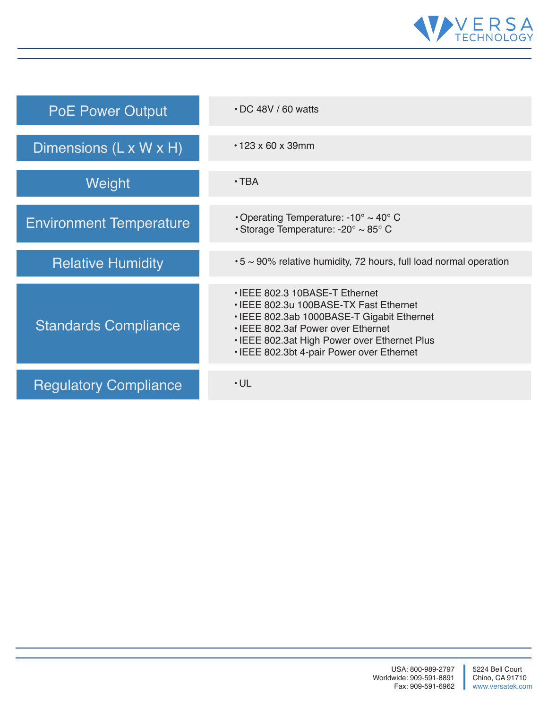

| <b>PoE Power Output</b>        | $\cdot$ DC 48V / 60 watts                                                                                                                                                                                                                                 |
|--------------------------------|-----------------------------------------------------------------------------------------------------------------------------------------------------------------------------------------------------------------------------------------------------------|
| Dimensions (L x W x H)         | $\cdot$ 123 x 60 x 39mm                                                                                                                                                                                                                                   |
| Weight                         | $\cdot$ TBA                                                                                                                                                                                                                                               |
| <b>Environment Temperature</b> | Operating Temperature: -10 $\degree$ ~ 40 $\degree$ C<br>• Storage Temperature: -20 $\degree$ ~ 85 $\degree$ C                                                                                                                                            |
| <b>Relative Humidity</b>       | •5 ~ 90% relative humidity, 72 hours, full load normal operation                                                                                                                                                                                          |
| <b>Standards Compliance</b>    | • IEEE 802.3 10BASE-T Ethernet<br>• IEEE 802.3u 100BASE-TX Fast Ethernet<br>• IEEE 802.3ab 1000BASE-T Gigabit Ethernet<br>• IEEE 802.3af Power over Ethernet<br>• IEEE 802.3at High Power over Ethernet Plus<br>• IEEE 802.3bt 4-pair Power over Ethernet |
| <b>Regulatory Compliance</b>   | $\cdot$ UL                                                                                                                                                                                                                                                |

U.